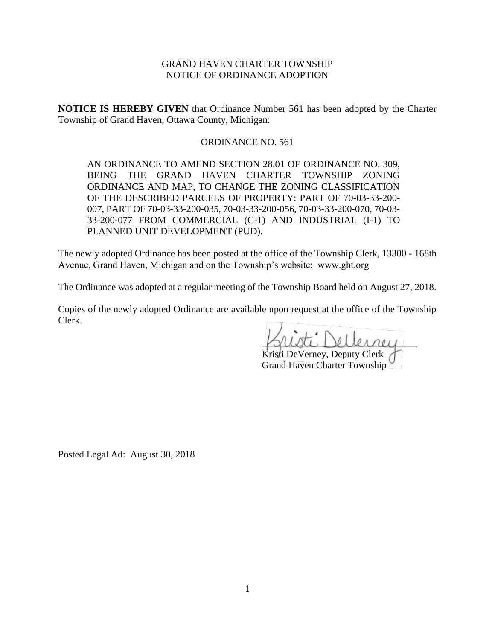# GRAND HAVEN CHARTER TOWNSHIP NOTICE OF ORDINANCE ADOPTION

**NOTICE IS HEREBY GIVEN** that Ordinance Number 561 has been adopted by the Charter Township of Grand Haven, Ottawa County, Michigan:

# ORDINANCE NO. 561

AN ORDINANCE TO AMEND SECTION 28.01 OF ORDINANCE NO. 309, BEING THE GRAND HAVEN CHARTER TOWNSHIP ZONING ORDINANCE AND MAP, TO CHANGE THE ZONING CLASSIFICATION OF THE DESCRIBED PARCELS OF PROPERTY: PART OF 70-03-33-200- 007, PART OF 70-03-33-200-035, 70-03-33-200-056, 70-03-33-200-070, 70-03- 33-200-077 FROM COMMERCIAL (C-1) AND INDUSTRIAL (I-1) TO PLANNED UNIT DEVELOPMENT (PUD).

The newly adopted Ordinance has been posted at the office of the Township Clerk, 13300 - 168th Avenue, Grand Haven, Michigan and on the Township's website: www.ght.org

The Ordinance was adopted at a regular meeting of the Township Board held on August 27, 2018.

Copies of the newly adopted Ordinance are available upon request at the office of the Township Clerk.

\_\_\_\_\_\_\_\_\_\_\_\_\_\_\_\_\_\_\_\_\_\_\_\_\_\_\_\_\_\_\_\_

Kristi DeVerney, Deputy Clerk Grand Haven Charter Township

Posted Legal Ad: August 30, 2018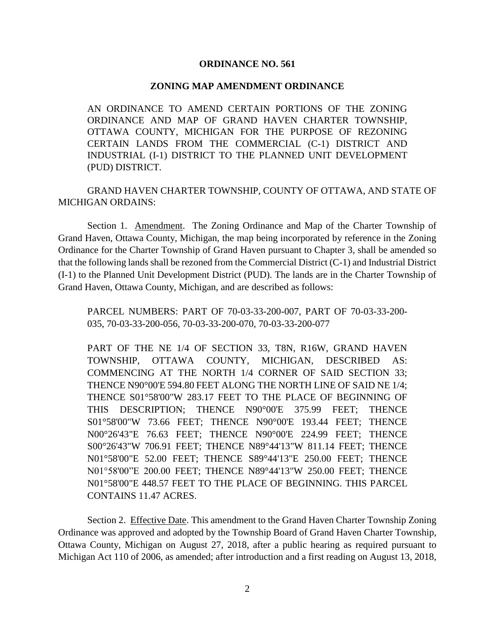### **ORDINANCE NO. 561**

#### **ZONING MAP AMENDMENT ORDINANCE**

AN ORDINANCE TO AMEND CERTAIN PORTIONS OF THE ZONING ORDINANCE AND MAP OF GRAND HAVEN CHARTER TOWNSHIP, OTTAWA COUNTY, MICHIGAN FOR THE PURPOSE OF REZONING CERTAIN LANDS FROM THE COMMERCIAL (C-1) DISTRICT AND INDUSTRIAL (I-1) DISTRICT TO THE PLANNED UNIT DEVELOPMENT (PUD) DISTRICT.

GRAND HAVEN CHARTER TOWNSHIP, COUNTY OF OTTAWA, AND STATE OF MICHIGAN ORDAINS:

Section 1. Amendment. The Zoning Ordinance and Map of the Charter Township of Grand Haven, Ottawa County, Michigan, the map being incorporated by reference in the Zoning Ordinance for the Charter Township of Grand Haven pursuant to Chapter 3, shall be amended so that the following lands shall be rezoned from the Commercial District (C-1) and Industrial District (I-1) to the Planned Unit Development District (PUD). The lands are in the Charter Township of Grand Haven, Ottawa County, Michigan, and are described as follows:

PARCEL NUMBERS: PART OF 70-03-33-200-007, PART OF 70-03-33-200- 035, 70-03-33-200-056, 70-03-33-200-070, 70-03-33-200-077

PART OF THE NE 1/4 OF SECTION 33, T8N, R16W, GRAND HAVEN TOWNSHIP, OTTAWA COUNTY, MICHIGAN, DESCRIBED AS: COMMENCING AT THE NORTH 1/4 CORNER OF SAID SECTION 33; THENCE N90°00'E 594.80 FEET ALONG THE NORTH LINE OF SAID NE 1/4; THENCE S01°58'00"W 283.17 FEET TO THE PLACE OF BEGINNING OF THIS DESCRIPTION; THENCE N90°00'E 375.99 FEET; THENCE S01°58'00"W 73.66 FEET; THENCE N90°00'E 193.44 FEET; THENCE N00°26'43"E 76.63 FEET; THENCE N90°00'E 224.99 FEET; THENCE S00°26'43"W 706.91 FEET; THENCE N89°44'13"W 811.14 FEET; THENCE N01°58'00"E 52.00 FEET; THENCE S89°44'13"E 250.00 FEET; THENCE N01°58'00"E 200.00 FEET; THENCE N89°44'13"W 250.00 FEET; THENCE N01°58'00"E 448.57 FEET TO THE PLACE OF BEGINNING. THIS PARCEL CONTAINS 11.47 ACRES.

Section 2. Effective Date. This amendment to the Grand Haven Charter Township Zoning Ordinance was approved and adopted by the Township Board of Grand Haven Charter Township, Ottawa County, Michigan on August 27, 2018, after a public hearing as required pursuant to Michigan Act 110 of 2006, as amended; after introduction and a first reading on August 13, 2018,